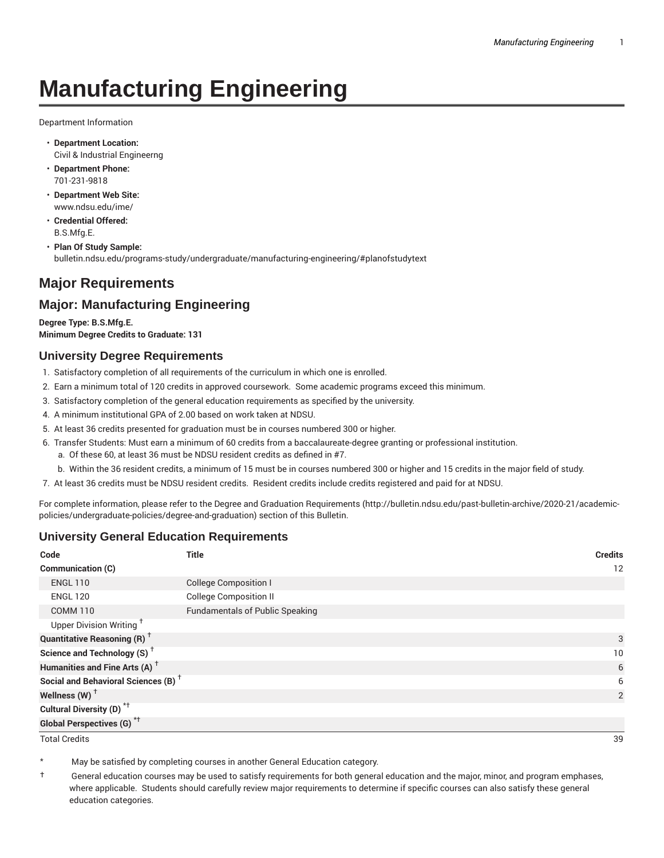# **Manufacturing Engineering**

Department Information

- **Department Location:** Civil & Industrial Engineerng
- **Department Phone:** 701-231-9818
- **Department Web Site:** www.ndsu.edu/ime/
- **Credential Offered:** B.S.Mfg.E.
- **Plan Of Study Sample:** bulletin.ndsu.edu/programs-study/undergraduate/manufacturing-engineering/#planofstudytext

## **Major Requirements**

## **Major: Manufacturing Engineering**

**Degree Type: B.S.Mfg.E. Minimum Degree Credits to Graduate: 131**

#### **University Degree Requirements**

- 1. Satisfactory completion of all requirements of the curriculum in which one is enrolled.
- 2. Earn a minimum total of 120 credits in approved coursework. Some academic programs exceed this minimum.
- 3. Satisfactory completion of the general education requirements as specified by the university.
- 4. A minimum institutional GPA of 2.00 based on work taken at NDSU.
- 5. At least 36 credits presented for graduation must be in courses numbered 300 or higher.
- 6. Transfer Students: Must earn a minimum of 60 credits from a baccalaureate-degree granting or professional institution.
	- a. Of these 60, at least 36 must be NDSU resident credits as defined in #7.
	- b. Within the 36 resident credits, a minimum of 15 must be in courses numbered 300 or higher and 15 credits in the major field of study.
- 7. At least 36 credits must be NDSU resident credits. Resident credits include credits registered and paid for at NDSU.

For complete information, please refer to the Degree and Graduation Requirements (http://bulletin.ndsu.edu/past-bulletin-archive/2020-21/academicpolicies/undergraduate-policies/degree-and-graduation) section of this Bulletin.

#### **University General Education Requirements**

| Code                                            | <b>Title</b>                           | <b>Credits</b> |
|-------------------------------------------------|----------------------------------------|----------------|
| Communication (C)                               |                                        | 12             |
| <b>ENGL 110</b>                                 | <b>College Composition I</b>           |                |
| <b>ENGL 120</b>                                 | <b>College Composition II</b>          |                |
| <b>COMM 110</b>                                 | <b>Fundamentals of Public Speaking</b> |                |
| Upper Division Writing <sup>+</sup>             |                                        |                |
| <b>Quantitative Reasoning (R)</b> <sup>†</sup>  |                                        | 3              |
| Science and Technology (S) <sup>+</sup>         |                                        | 10             |
| Humanities and Fine Arts (A) <sup>+</sup>       |                                        | 6              |
| Social and Behavioral Sciences (B) <sup>+</sup> |                                        | 6              |
| Wellness $(W)$ <sup>+</sup>                     |                                        | 2              |
| Cultural Diversity (D) <sup>*†</sup>            |                                        |                |
| <b>Global Perspectives (G)<sup>*†</sup></b>     |                                        |                |

Total Credits 39

May be satisfied by completing courses in another General Education category.

† General education courses may be used to satisfy requirements for both general education and the major, minor, and program emphases, where applicable. Students should carefully review major requirements to determine if specific courses can also satisfy these general education categories.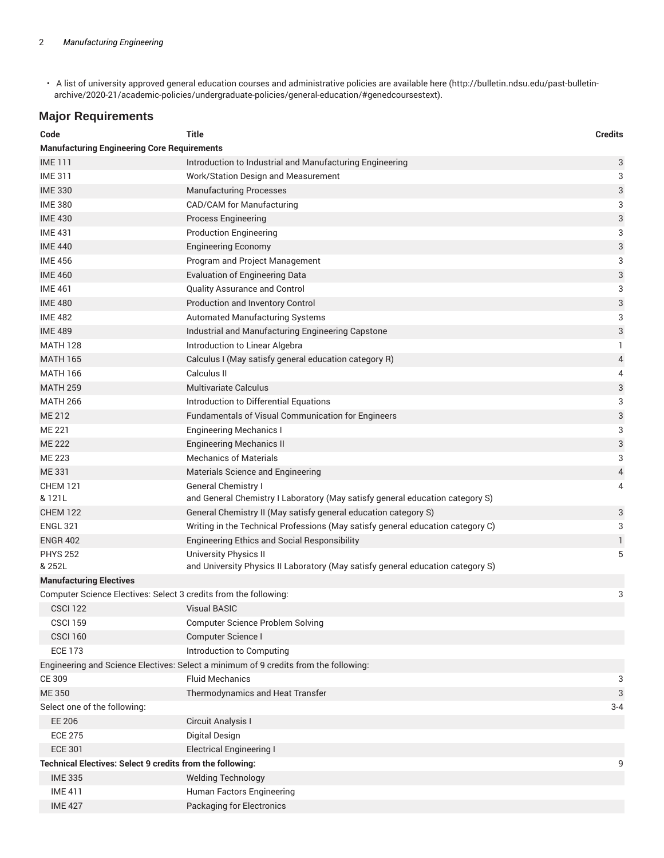• A list of university approved general education courses and administrative policies are available here (http://bulletin.ndsu.edu/past-bulletinarchive/2020-21/academic-policies/undergraduate-policies/general-education/#genedcoursestext).

## **Major Requirements**

| Code                                                             | Title                                                                                | <b>Credits</b> |
|------------------------------------------------------------------|--------------------------------------------------------------------------------------|----------------|
| <b>Manufacturing Engineering Core Requirements</b>               |                                                                                      |                |
| <b>IME111</b>                                                    | Introduction to Industrial and Manufacturing Engineering                             | 3              |
| <b>IME 311</b>                                                   | Work/Station Design and Measurement                                                  | 3              |
| <b>IME 330</b>                                                   | <b>Manufacturing Processes</b>                                                       | 3              |
| <b>IME 380</b>                                                   | CAD/CAM for Manufacturing                                                            | 3              |
| <b>IME 430</b>                                                   | <b>Process Engineering</b>                                                           | 3              |
| <b>IME 431</b>                                                   | <b>Production Engineering</b>                                                        | 3              |
| <b>IME 440</b>                                                   | <b>Engineering Economy</b>                                                           | 3              |
| <b>IME 456</b>                                                   | Program and Project Management                                                       | 3              |
| <b>IME 460</b>                                                   | <b>Evaluation of Engineering Data</b>                                                | 3              |
| <b>IME 461</b>                                                   | Quality Assurance and Control                                                        | 3              |
| <b>IME 480</b>                                                   | Production and Inventory Control                                                     | 3              |
| <b>IME 482</b>                                                   | Automated Manufacturing Systems                                                      | 3              |
| <b>IME 489</b>                                                   | Industrial and Manufacturing Engineering Capstone                                    | 3              |
| <b>MATH 128</b>                                                  | Introduction to Linear Algebra                                                       | 1              |
| <b>MATH 165</b>                                                  | Calculus I (May satisfy general education category R)                                | 4              |
| <b>MATH 166</b>                                                  | Calculus II                                                                          | 4              |
| <b>MATH 259</b>                                                  | <b>Multivariate Calculus</b>                                                         | 3              |
| <b>MATH 266</b>                                                  | Introduction to Differential Equations                                               | 3              |
| ME 212                                                           | Fundamentals of Visual Communication for Engineers                                   | 3              |
| ME 221                                                           | <b>Engineering Mechanics I</b>                                                       | 3              |
| <b>ME 222</b>                                                    | <b>Engineering Mechanics II</b>                                                      | 3              |
| ME 223                                                           | <b>Mechanics of Materials</b>                                                        | 3              |
| ME 331                                                           | Materials Science and Engineering                                                    | 4              |
| <b>CHEM 121</b>                                                  | General Chemistry I                                                                  | 4              |
| & 121L                                                           | and General Chemistry I Laboratory (May satisfy general education category S)        |                |
| <b>CHEM 122</b>                                                  | General Chemistry II (May satisfy general education category S)                      | 3              |
| <b>ENGL 321</b>                                                  | Writing in the Technical Professions (May satisfy general education category C)      | 3              |
| <b>ENGR 402</b>                                                  | <b>Engineering Ethics and Social Responsibility</b>                                  | 1              |
| <b>PHYS 252</b>                                                  | <b>University Physics II</b>                                                         | 5              |
| & 252L                                                           | and University Physics II Laboratory (May satisfy general education category S)      |                |
| <b>Manufacturing Electives</b>                                   |                                                                                      |                |
| Computer Science Electives: Select 3 credits from the following: |                                                                                      | 3              |
| CSCI <sub>122</sub>                                              | Visual BASIC                                                                         |                |
| <b>CSCI 159</b>                                                  | <b>Computer Science Problem Solving</b>                                              |                |
| <b>CSCI 160</b>                                                  | Computer Science I                                                                   |                |
| <b>ECE 173</b>                                                   | Introduction to Computing                                                            |                |
|                                                                  | Engineering and Science Electives: Select a minimum of 9 credits from the following: |                |
| CE 309                                                           | <b>Fluid Mechanics</b>                                                               | 3              |
| <b>ME 350</b>                                                    | Thermodynamics and Heat Transfer                                                     | 3              |
| Select one of the following:                                     |                                                                                      | $3-4$          |
| EE 206                                                           | Circuit Analysis I                                                                   |                |
| <b>ECE 275</b>                                                   | Digital Design                                                                       |                |
| <b>ECE 301</b>                                                   | <b>Electrical Engineering I</b>                                                      |                |
| Technical Electives: Select 9 credits from the following:        |                                                                                      | 9              |
| <b>IME 335</b>                                                   | <b>Welding Technology</b>                                                            |                |
| <b>IME 411</b>                                                   | Human Factors Engineering                                                            |                |
| <b>IME 427</b>                                                   | <b>Packaging for Electronics</b>                                                     |                |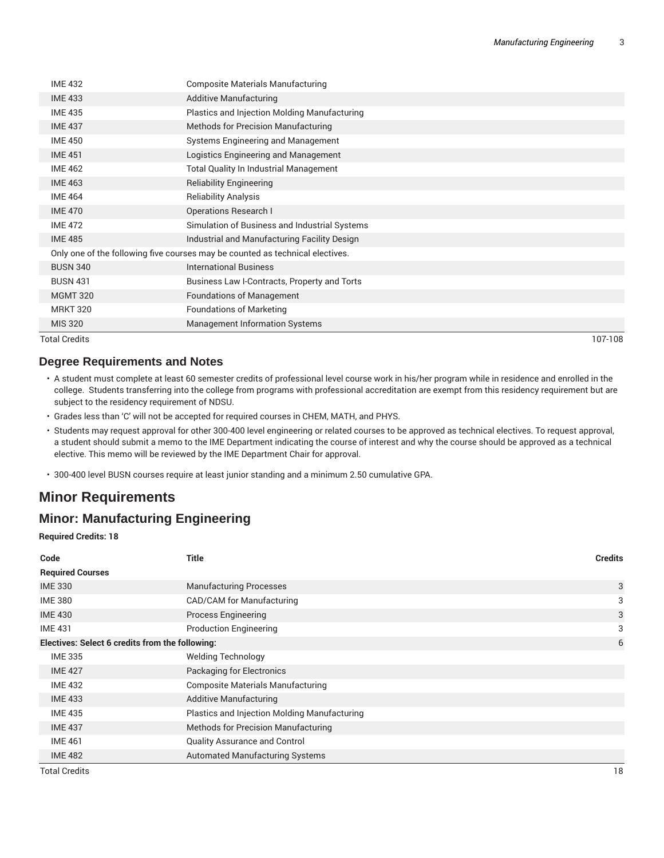| <b>IME 432</b>                                                                | <b>Composite Materials Manufacturing</b>      |  |
|-------------------------------------------------------------------------------|-----------------------------------------------|--|
| <b>IME 433</b>                                                                | <b>Additive Manufacturing</b>                 |  |
| <b>IME 435</b>                                                                | Plastics and Injection Molding Manufacturing  |  |
| <b>IME 437</b>                                                                | Methods for Precision Manufacturing           |  |
| <b>IME 450</b>                                                                | Systems Engineering and Management            |  |
| <b>IME 451</b>                                                                | Logistics Engineering and Management          |  |
| <b>IME 462</b>                                                                | <b>Total Quality In Industrial Management</b> |  |
| <b>IME 463</b>                                                                | <b>Reliability Engineering</b>                |  |
| <b>IME 464</b>                                                                | <b>Reliability Analysis</b>                   |  |
| <b>IME 470</b>                                                                | <b>Operations Research I</b>                  |  |
| <b>IME 472</b>                                                                | Simulation of Business and Industrial Systems |  |
| <b>IME 485</b>                                                                | Industrial and Manufacturing Facility Design  |  |
| Only one of the following five courses may be counted as technical electives. |                                               |  |
| <b>BUSN 340</b>                                                               | <b>International Business</b>                 |  |
| <b>BUSN 431</b>                                                               | Business Law I-Contracts, Property and Torts  |  |
| <b>MGMT 320</b>                                                               | <b>Foundations of Management</b>              |  |
| <b>MRKT 320</b>                                                               | <b>Foundations of Marketing</b>               |  |
| <b>MIS 320</b>                                                                | <b>Management Information Systems</b>         |  |

Total Credits 107-108

#### **Degree Requirements and Notes**

- A student must complete at least 60 semester credits of professional level course work in his/her program while in residence and enrolled in the college. Students transferring into the college from programs with professional accreditation are exempt from this residency requirement but are subject to the residency requirement of NDSU.
- Grades less than 'C' will not be accepted for required courses in CHEM, MATH, and PHYS.
- Students may request approval for other 300-400 level engineering or related courses to be approved as technical electives. To request approval, a student should submit a memo to the IME Department indicating the course of interest and why the course should be approved as a technical elective. This memo will be reviewed by the IME Department Chair for approval.
- 300-400 level BUSN courses require at least junior standing and a minimum 2.50 cumulative GPA.

#### **Minor Requirements**

## **Minor: Manufacturing Engineering**

**Required Credits: 18**

| Code                                            | <b>Title</b>                                 | <b>Credits</b> |
|-------------------------------------------------|----------------------------------------------|----------------|
| <b>Required Courses</b>                         |                                              |                |
| <b>IME 330</b>                                  | <b>Manufacturing Processes</b>               | 3              |
| <b>IME 380</b>                                  | CAD/CAM for Manufacturing                    | 3              |
| <b>IME 430</b>                                  | <b>Process Engineering</b>                   | 3              |
| <b>IME 431</b>                                  | <b>Production Engineering</b>                | 3              |
| Electives: Select 6 credits from the following: |                                              | 6              |
| <b>IME 335</b>                                  | <b>Welding Technology</b>                    |                |
| <b>IME 427</b>                                  | Packaging for Electronics                    |                |
| <b>IME 432</b>                                  | <b>Composite Materials Manufacturing</b>     |                |
| <b>IME 433</b>                                  | Additive Manufacturing                       |                |
| <b>IME 435</b>                                  | Plastics and Injection Molding Manufacturing |                |
| <b>IME 437</b>                                  | Methods for Precision Manufacturing          |                |
| <b>IME 461</b>                                  | <b>Quality Assurance and Control</b>         |                |
| <b>IME 482</b>                                  | Automated Manufacturing Systems              |                |
| <b>Total Credits</b>                            |                                              | 18             |